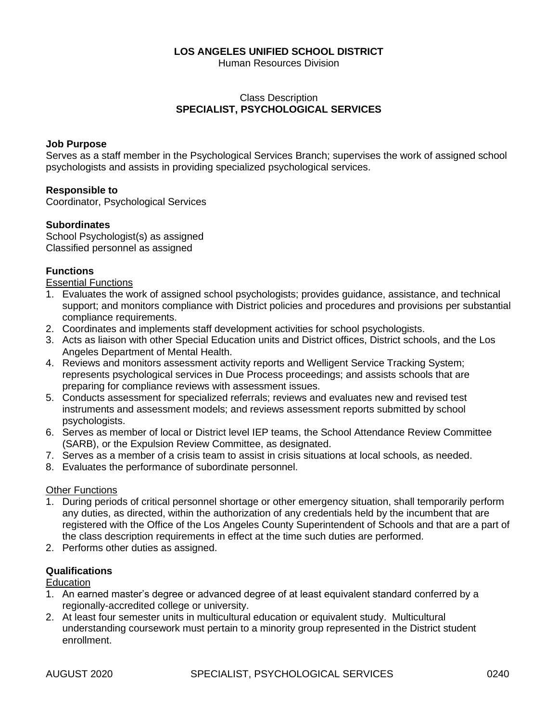# **LOS ANGELES UNIFIED SCHOOL DISTRICT**

Human Resources Division

## Class Description **SPECIALIST, PSYCHOLOGICAL SERVICES**

#### **Job Purpose**

Serves as a staff member in the Psychological Services Branch; supervises the work of assigned school psychologists and assists in providing specialized psychological services.

#### **Responsible to**

Coordinator, Psychological Services

## **Subordinates**

School Psychologist(s) as assigned Classified personnel as assigned

## **Functions**

Essential Functions

- 1. Evaluates the work of assigned school psychologists; provides guidance, assistance, and technical support; and monitors compliance with District policies and procedures and provisions per substantial compliance requirements.
- 2. Coordinates and implements staff development activities for school psychologists.
- 3. Acts as liaison with other Special Education units and District offices, District schools, and the Los Angeles Department of Mental Health.
- 4. Reviews and monitors assessment activity reports and Welligent Service Tracking System; represents psychological services in Due Process proceedings; and assists schools that are preparing for compliance reviews with assessment issues.
- 5. Conducts assessment for specialized referrals; reviews and evaluates new and revised test instruments and assessment models; and reviews assessment reports submitted by school psychologists.
- 6. Serves as member of local or District level IEP teams, the School Attendance Review Committee (SARB), or the Expulsion Review Committee, as designated.
- 7. Serves as a member of a crisis team to assist in crisis situations at local schools, as needed.
- 8. Evaluates the performance of subordinate personnel.

#### Other Functions

- 1. During periods of critical personnel shortage or other emergency situation, shall temporarily perform any duties, as directed, within the authorization of any credentials held by the incumbent that are registered with the Office of the Los Angeles County Superintendent of Schools and that are a part of the class description requirements in effect at the time such duties are performed.
- 2. Performs other duties as assigned.

#### **Qualifications**

**Education** 

- 1. An earned master's degree or advanced degree of at least equivalent standard conferred by a regionally-accredited college or university.
- 2. At least four semester units in multicultural education or equivalent study. Multicultural understanding coursework must pertain to a minority group represented in the District student enrollment.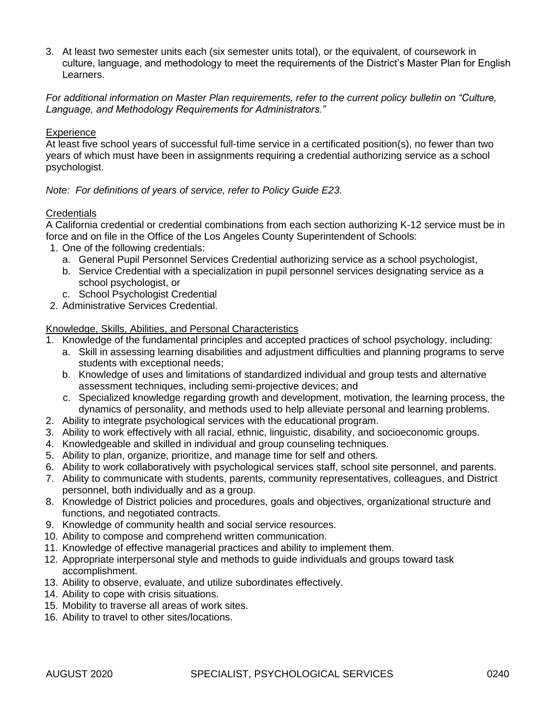3. At least two semester units each (six semester units total), or the equivalent, of coursework in culture, language, and methodology to meet the requirements of the District's Master Plan for English Learners.

*For additional information on Master Plan requirements, refer to the current policy bulletin on "Culture, Language, and Methodology Requirements for Administrators."*

#### **Experience**

At least five school years of successful full-time service in a certificated position(s), no fewer than two years of which must have been in assignments requiring a credential authorizing service as a school psychologist.

*Note: For definitions of years of service, refer to Policy Guide E23.*

## **Credentials**

A California credential or credential combinations from each section authorizing K-12 service must be in force and on file in the Office of the Los Angeles County Superintendent of Schools:

- 1. One of the following credentials:
	- a. General Pupil Personnel Services Credential authorizing service as a school psychologist,
	- b. Service Credential with a specialization in pupil personnel services designating service as a school psychologist, or
	- c. School Psychologist Credential
- 2. Administrative Services Credential.

Knowledge, Skills, Abilities, and Personal Characteristics

- 1. Knowledge of the fundamental principles and accepted practices of school psychology, including:
	- a. Skill in assessing learning disabilities and adjustment difficulties and planning programs to serve students with exceptional needs;
	- b. Knowledge of uses and limitations of standardized individual and group tests and alternative assessment techniques, including semi-projective devices; and
	- c. Specialized knowledge regarding growth and development, motivation, the learning process, the dynamics of personality, and methods used to help alleviate personal and learning problems.
- 2. Ability to integrate psychological services with the educational program.
- 3. Ability to work effectively with all racial, ethnic, linguistic, disability, and socioeconomic groups.
- 4. Knowledgeable and skilled in individual and group counseling techniques.
- 5. Ability to plan, organize, prioritize, and manage time for self and others.
- 6. Ability to work collaboratively with psychological services staff, school site personnel, and parents.
- 7. Ability to communicate with students, parents, community representatives, colleagues, and District personnel, both individually and as a group.
- 8. Knowledge of District policies and procedures, goals and objectives, organizational structure and functions, and negotiated contracts.
- 9. Knowledge of community health and social service resources.
- 10. Ability to compose and comprehend written communication.
- 11. Knowledge of effective managerial practices and ability to implement them.
- 12. Appropriate interpersonal style and methods to guide individuals and groups toward task accomplishment.
- 13. Ability to observe, evaluate, and utilize subordinates effectively.
- 14. Ability to cope with crisis situations.
- 15. Mobility to traverse all areas of work sites.
- 16. Ability to travel to other sites/locations.